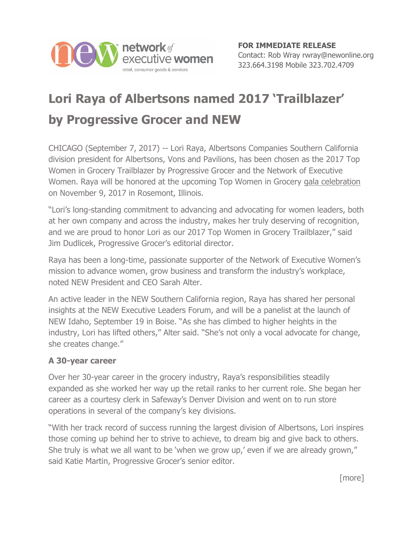

## **Lori Raya of Albertsons named 2017 'Trailblazer' by Progressive Grocer and NEW**

CHICAGO (September 7, 2017) -- Lori Raya, Albertsons Companies Southern California division president for Albertsons, Vons and Pavilions, has been chosen as the 2017 Top Women in Grocery Trailblazer by Progressive Grocer and the Network of Executive Women. Raya will be honored at the upcoming Top Women in Grocery [gala celebration](https://events.ensembleiq.com/Top-Women-In-Grocery-2017%20https:/events.ensembleiq.com/Top-Women-In-Grocery-2017) on November 9, 2017 in Rosemont, Illinois.

"Lori's long-standing commitment to advancing and advocating for women leaders, both at her own company and across the industry, makes her truly deserving of recognition, and we are proud to honor Lori as our 2017 Top Women in Grocery Trailblazer," said Jim Dudlicek, Progressive Grocer's editorial director.

Raya has been a long-time, passionate supporter of the Network of Executive Women's mission to advance women, grow business and transform the industry's workplace, noted NEW President and CEO Sarah Alter.

An active leader in the NEW Southern California region, Raya has shared her personal insights at the NEW Executive Leaders Forum, and will be a panelist at the launch of NEW Idaho, September 19 in Boise. "As she has climbed to higher heights in the industry, Lori has lifted others," Alter said. "She's not only a vocal advocate for change, she creates change."

## **A 30-year career**

Over her 30-year career in the grocery industry, Raya's responsibilities steadily expanded as she worked her way up the retail ranks to her current role. She began her career as a courtesy clerk in Safeway's Denver Division and went on to run store operations in several of the company's key divisions.

"With her track record of success running the largest division of Albertsons, Lori inspires those coming up behind her to strive to achieve, to dream big and give back to others. She truly is what we all want to be 'when we grow up,' even if we are already grown," said Katie Martin, Progressive Grocer's senior editor.

[more]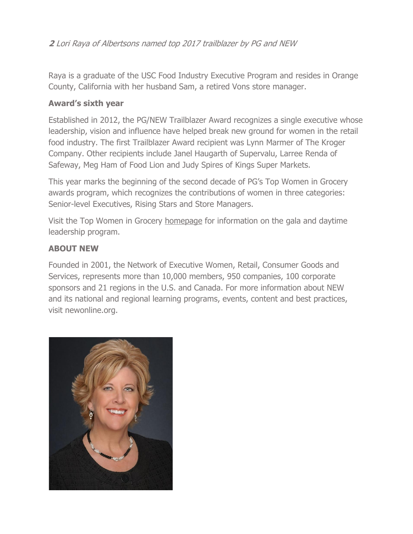**2** Lori Raya of Albertsons named top 2017 trailblazer by PG and NEW

Raya is a graduate of the USC Food Industry Executive Program and resides in Orange County, California with her husband Sam, a retired Vons store manager.

## **Award's sixth year**

Established in 2012, the PG/NEW Trailblazer Award recognizes a single executive whose leadership, vision and influence have helped break new ground for women in the retail food industry. The first Trailblazer Award recipient was Lynn Marmer of The Kroger Company. Other recipients include Janel Haugarth of Supervalu, Larree Renda of Safeway, Meg Ham of Food Lion and Judy Spires of Kings Super Markets.

This year marks the beginning of the second decade of PG's Top Women in Grocery awards program, which recognizes the contributions of women in three categories: Senior-level Executives, Rising Stars and Store Managers.

Visit the Top Women in Grocery [homepage](https://events.ensembleiq.com/Top-Women-In-Grocery-2017) for information on the gala and daytime leadership program.

## **ABOUT NEW**

Founded in 2001, the Network of Executive Women, Retail, Consumer Goods and Services, represents more than 10,000 members, 950 companies, 100 corporate sponsors and 21 regions in the U.S. and Canada. For more information about NEW and its national and regional learning programs, events, content and best practices, visit newonline.org.